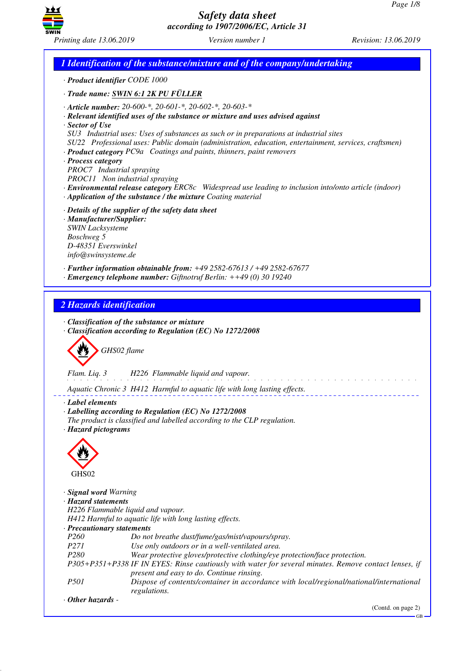GB



*Safety data sheet according to 1907/2006/EC, Article 31*

*1 Identification of the substance/mixture and of the company/undertaking · Product identifier CODE 1000 · Trade name: SWIN 6:1 2K PU FÜLLER · Article number: 20-600-\*, 20-601-\*, 20-602-\*, 20-603-\* · Relevant identified uses of the substance or mixture and uses advised against · Sector of Use SU3 Industrial uses: Uses of substances as such or in preparations at industrial sites SU22 Professional uses: Public domain (administration, education, entertainment, services, craftsmen) · Product category PC9a Coatings and paints, thinners, paint removers · Process category PROC7 Industrial spraying PROC11 Non industrial spraying · Environmental release category ERC8c Widespread use leading to inclusion into/onto article (indoor) · Application of the substance / the mixture Coating material · Details of the supplier of the safety data sheet · Manufacturer/Supplier: SWIN Lacksysteme Boschweg 5 D-48351 Everswinkel info@swinsysteme.de · Further information obtainable from: +49 2582-67613 / +49 2582-67677 · Emergency telephone number: Giftnotruf Berlin: ++49 (0) 30 19240 2 Hazards identification · Classification of the substance or mixture · Classification according to Regulation (EC) No 1272/2008* d~*GHS02 flame Flam. Liq. 3 H226 Flammable liquid and vapour.* <u>.</u> . . . . . . . . . . . . . . *Aquatic Chronic 3 H412 Harmful to aquatic life with long lasting effects. · Label elements · Labelling according to Regulation (EC) No 1272/2008 The product is classified and labelled according to the CLP regulation. · Hazard pictograms* < GHS<sub>02</sub> *· Signal word Warning · Hazard statements H226 Flammable liquid and vapour. H412 Harmful to aquatic life with long lasting effects. · Precautionary statements P260 Do not breathe dust/fume/gas/mist/vapours/spray. P271 Use only outdoors or in a well-ventilated area. P280 Wear protective gloves/protective clothing/eye protection/face protection. P305+P351+P338 IF IN EYES: Rinse cautiously with water for several minutes. Remove contact lenses, if present and easy to do. Continue rinsing. P501 Dispose of contents/container in accordance with local/regional/national/international regulations. · Other hazards -*  (Contd. on page 2)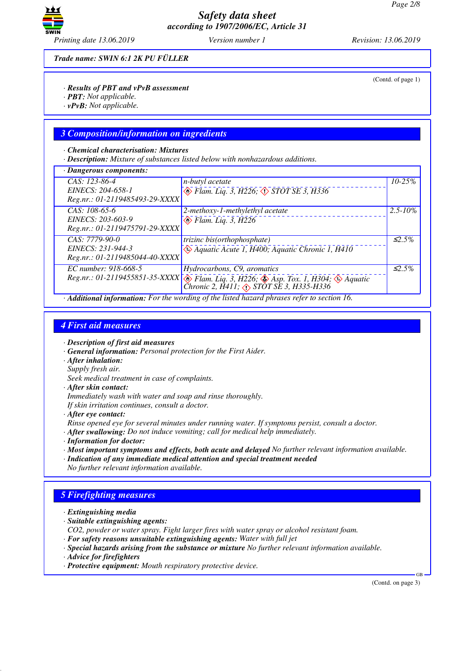

(Contd. of page 1)

*Trade name: SWIN 6:1 2K PU FÜLLER*

### *· Results of PBT and vPvB assessment*

- *· PBT: Not applicable.*
- *· vPvB: Not applicable.*

### *3 Composition/information on ingredients*

#### *· Chemical characterisation: Mixtures*

*· Description: Mixture of substances listed below with nonhazardous additions.*

| $\cdot$ Dangerous components:                                           |                                                                                                                                                                                       |              |
|-------------------------------------------------------------------------|---------------------------------------------------------------------------------------------------------------------------------------------------------------------------------------|--------------|
| $CAS: 123-86-4$<br>EINECS: 204-658-1<br>Reg.nr.: 01-2119485493-29-XXXX  | <i>n-butyl acetate</i><br>$\circledast$ Flam. Liq. 3, H226, $\circledast$ STOT SE 3, H336                                                                                             | $10 - 25\%$  |
| $CAS: 108-65-6$<br>EINECS: 203-603-9<br>Reg.nr.: 01-2119475791-29-XXXX  | 2-methoxy-1-methylethyl acetate<br>$\otimes$ Flam. Liq. 3, H226                                                                                                                       | $2.5 - 10\%$ |
| $CAS: 7779-90-0$<br>EINECS: 231-944-3<br>Reg.nr.: 01-2119485044-40-XXXX | trizinc bis(orthophosphate)<br>$\Leftrightarrow$ Aquatic Acute 1, H400; Aquatic Chronic 1, H410                                                                                       | $\leq 2.5\%$ |
| EC number: 918-668-5                                                    | Hydrocarbons, C9, aromatics<br>Reg.nr.: 01-2119455851-35-XXXX $\otimes$ Flam. Liq. 3, H226; $\otimes$ Asp. Tox. 1, H304; $\otimes$ Aquatic<br>Chronic 2, H411; A STOT SE 3, H335-H336 | $\leq 2.5\%$ |

*· Additional information: For the wording of the listed hazard phrases refer to section 16.*

### *4 First aid measures*

*· Description of first aid measures*

- *· General information: Personal protection for the First Aider.*
- *· After inhalation:*
- *Supply fresh air.*

*Seek medical treatment in case of complaints.*

*· After skin contact:*

*Immediately wash with water and soap and rinse thoroughly.*

*If skin irritation continues, consult a doctor.*

*· After eye contact:*

*Rinse opened eye for several minutes under running water. If symptoms persist, consult a doctor.*

- *· After swallowing: Do not induce vomiting; call for medical help immediately.*
- *· Information for doctor:*
- *· Most important symptoms and effects, both acute and delayed No further relevant information available.*
- *· Indication of any immediate medical attention and special treatment needed No further relevant information available.*

## *5 Firefighting measures*

- *· Extinguishing media*
- *· Suitable extinguishing agents:*

*CO2, powder or water spray. Fight larger fires with water spray or alcohol resistant foam.*

*· For safety reasons unsuitable extinguishing agents: Water with full jet*

*· Special hazards arising from the substance or mixture No further relevant information available.*

- *· Advice for firefighters*
- *· Protective equipment: Mouth respiratory protective device.*

(Contd. on page 3)

GB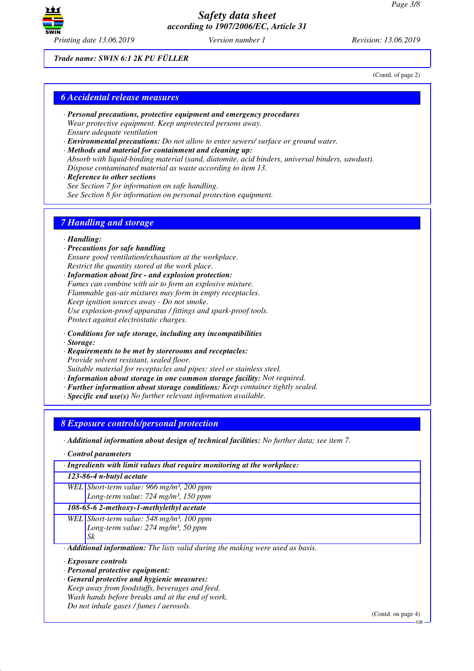

*Trade name: SWIN 6:1 2K PU FÜLLER*

(Contd. of page 2)

## *6 Accidental release measures*

- *· Personal precautions, protective equipment and emergency procedures Wear protective equipment. Keep unprotected persons away. Ensure adequate ventilation*
- *· Environmental precautions: Do not allow to enter sewers/ surface or ground water.*
- *· Methods and material for containment and cleaning up: Absorb with liquid-binding material (sand, diatomite, acid binders, universal binders, sawdust). Dispose contaminated material as waste according to item 13.*
- *· Reference to other sections See Section 7 for information on safe handling. See Section 8 for information on personal protection equipment.*

# *7 Handling and storage*

#### *· Handling:*

- *· Precautions for safe handling Ensure good ventilation/exhaustion at the workplace. Restrict the quantity stored at the work place.*
- *· Information about fire and explosion protection: Fumes can combine with air to form an explosive mixture. Flammable gas-air mixtures may form in empty receptacles. Keep ignition sources away - Do not smoke. Use explosion-proof apparatus / fittings and spark-proof tools. Protect against electrostatic charges.*
- *· Conditions for safe storage, including any incompatibilities*
- *· Storage:*
- *· Requirements to be met by storerooms and receptacles: Provide solvent resistant, sealed floor. Suitable material for receptacles and pipes: steel or stainless steel.*
- *· Information about storage in one common storage facility: Not required.*
- *· Further information about storage conditions: Keep container tightly sealed.*
- *· Specific end use(s) No further relevant information available.*

### *8 Exposure controls/personal protection*

*· Additional information about design of technical facilities: No further data; see item 7.*

*· Control parameters*

*· Ingredients with limit values that require monitoring at the workplace:*

*123-86-4 n-butyl acetate*

*WEL Short-term value: 966 mg/m³, 200 ppm Long-term value: 724 mg/m³, 150 ppm*

### *108-65-6 2-methoxy-1-methylethyl acetate*

*WEL Short-term value: 548 mg/m³, 100 ppm Long-term value: 274 mg/m³, 50 ppm Sk*

*· Additional information: The lists valid during the making were used as basis.*

- *· Exposure controls*
- *· Personal protective equipment:*
- *· General protective and hygienic measures:*
- *Keep away from foodstuffs, beverages and feed.*

*Wash hands before breaks and at the end of work. Do not inhale gases / fumes / aerosols.*

(Contd. on page 4)

GB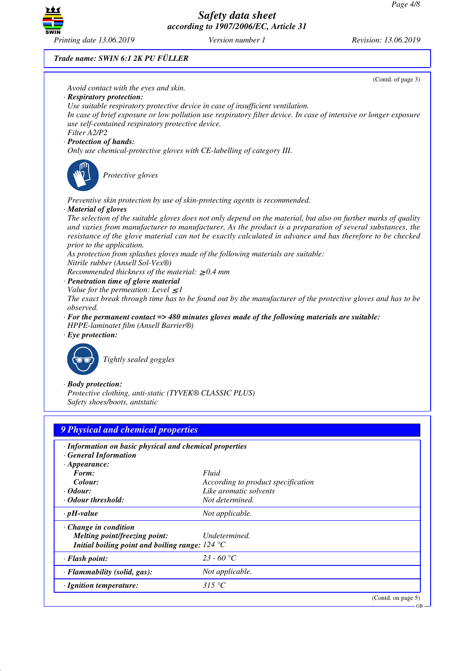GB



*Safety data sheet according to 1907/2006/EC, Article 31*

### *Trade name: SWIN 6:1 2K PU FÜLLER*



| <b>General Information</b>                                                                                                              |                                    |
|-----------------------------------------------------------------------------------------------------------------------------------------|------------------------------------|
| $\cdot$ Appearance:                                                                                                                     |                                    |
| Form:                                                                                                                                   | Fluid                              |
| Colour:                                                                                                                                 | According to product specification |
| $\cdot$ Odour:                                                                                                                          | Like aromatic solvents             |
| • Odour threshold:                                                                                                                      | Not determined.                    |
| $\cdot$ pH-value                                                                                                                        | Not applicable.                    |
| $\cdot$ Change in condition<br>Melting point/freezing point:<br>Initial boiling point and boiling range: $124 \text{ }^{\circ}\text{C}$ | Undetermined.                      |
| $\cdot$ Flash point:                                                                                                                    | 23 - 60 °C                         |
| $\cdot$ Flammability (solid, gas):                                                                                                      | Not applicable.                    |
| $\cdot$ Ignition temperature:                                                                                                           | 315 °C                             |
|                                                                                                                                         | (Contd. on page 5)                 |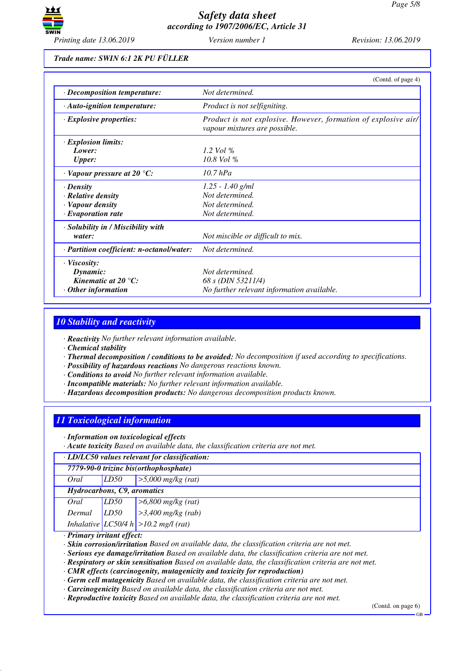

*Trade name: SWIN 6:1 2K PU FÜLLER*

|                                           | (Contd. of page 4)                                                                                     |
|-------------------------------------------|--------------------------------------------------------------------------------------------------------|
| · Decomposition temperature:              | Not determined.                                                                                        |
| $\cdot$ Auto-ignition temperature:        | Product is not selfigniting.                                                                           |
| $\cdot$ Explosive properties:             | Product is not explosive. However, formation of explosive air/<br><i>vapour mixtures are possible.</i> |
| $\cdot$ Explosion limits:                 |                                                                                                        |
| Lower:                                    | 1.2 Vol $\%$                                                                                           |
| <b>Upper:</b>                             | 10.8 Vol %                                                                                             |
| $\cdot$ Vapour pressure at 20 °C:         | 10.7 hPa                                                                                               |
| $\cdot$ Density                           | $1.25 - 1.40$ g/ml                                                                                     |
| · Relative density                        | Not determined.                                                                                        |
| · Vapour density                          | Not determined.                                                                                        |
| $\cdot$ Evaporation rate                  | Not determined.                                                                                        |
| · Solubility in / Miscibility with        |                                                                                                        |
| water:                                    | Not miscible or difficult to mix.                                                                      |
| · Partition coefficient: n-octanol/water: | Not determined.                                                                                        |
| $\cdot$ Viscosity:                        |                                                                                                        |
| Dynamic:                                  | Not determined.                                                                                        |
| Kinematic at 20 $^{\circ}$ C:             | 68 s (DIN 53211/4)                                                                                     |
| $\cdot$ Other information                 | No further relevant information available.                                                             |

# *10 Stability and reactivity*

*· Reactivity No further relevant information available.*

*· Chemical stability*

- *· Thermal decomposition / conditions to be avoided: No decomposition if used according to specifications.*
- *· Possibility of hazardous reactions No dangerous reactions known.*
- *· Conditions to avoid No further relevant information available.*
- *· Incompatible materials: No further relevant information available.*
- *· Hazardous decomposition products: No dangerous decomposition products known.*

# *11 Toxicological information*

*· Information on toxicological effects*

*· Acute toxicity Based on available data, the classification criteria are not met.*

*· LD/LC50 values relevant for classification:*

| 7779-90-0 trizinc bis(orthophosphate) |                  |                                                                                          |
|---------------------------------------|------------------|------------------------------------------------------------------------------------------|
| Oral                                  | LD50             | $\geq 5,000 \text{ mg/kg}$ (rat)                                                         |
| Hydrocarbons, C9, aromatics           |                  |                                                                                          |
| Oral                                  | LD <sub>50</sub> |                                                                                          |
| Dermal                                | LD50             | $\begin{bmatrix} >6,800 \text{ mg/kg (rat)} \\ >3,400 \text{ mg/kg (rab)} \end{bmatrix}$ |
|                                       |                  | Inhalative $LC50/4 h$ > 10.2 mg/l (rat)                                                  |

### *· Primary irritant effect:*

*· Skin corrosion/irritation Based on available data, the classification criteria are not met.*

*· Serious eye damage/irritation Based on available data, the classification criteria are not met.*

*· Respiratory or skin sensitisation Based on available data, the classification criteria are not met.*

*· CMR effects (carcinogenity, mutagenicity and toxicity for reproduction)*

*· Germ cell mutagenicity Based on available data, the classification criteria are not met.*

*· Carcinogenicity Based on available data, the classification criteria are not met.*

*· Reproductive toxicity Based on available data, the classification criteria are not met.*

(Contd. on page 6)

GB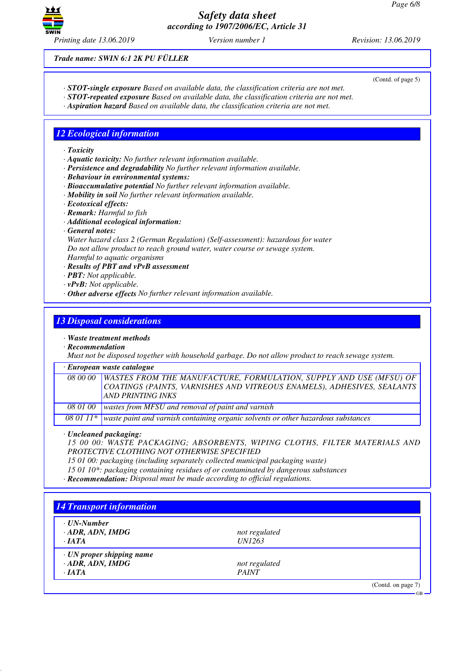

(Contd. of page 5)

*Trade name: SWIN 6:1 2K PU FÜLLER*

*· STOT-single exposure Based on available data, the classification criteria are not met.*

- *· STOT-repeated exposure Based on available data, the classification criteria are not met.*
- *· Aspiration hazard Based on available data, the classification criteria are not met.*

# *12 Ecological information*

#### *· Toxicity*

- *· Aquatic toxicity: No further relevant information available.*
- *· Persistence and degradability No further relevant information available.*
- *· Behaviour in environmental systems:*
- *· Bioaccumulative potential No further relevant information available.*
- *· Mobility in soil No further relevant information available.*
- *· Ecotoxical effects:*
- *· Remark: Harmful to fish*
- *· Additional ecological information:*
- *· General notes:*

*Water hazard class 2 (German Regulation) (Self-assessment): hazardous for water Do not allow product to reach ground water, water course or sewage system. Harmful to aquatic organisms*

- *· Results of PBT and vPvB assessment*
- *· PBT: Not applicable.*
- *· vPvB: Not applicable.*
- *· Other adverse effects No further relevant information available.*

### *13 Disposal considerations*

- *· Waste treatment methods*
- *· Recommendation*

*Must not be disposed together with household garbage. Do not allow product to reach sewage system.*

*· European waste catalogue*

|  | 08 00 00 WASTES FROM THE MANUFACTURE, FORMULATION, SUPPLY AND USE (MFSU) OF<br>COATINGS (PAINTS, VARNISHES AND VITREOUS ENAMELS), ADHESIVES, SEALANTS<br><b>AND PRINTING INKS</b> |
|--|-----------------------------------------------------------------------------------------------------------------------------------------------------------------------------------|
|  | $0.0100$ wastes from MESI and nomenal of point and nomials                                                                                                                        |

*08 01 00 wastes from MFSU and removal of paint and varnish*

*08 01 11\* waste paint and varnish containing organic solvents or other hazardous substances*

*· Uncleaned packaging:*

*15 00 00: WASTE PACKAGING; ABSORBENTS, WIPING CLOTHS, FILTER MATERIALS AND PROTECTIVE CLOTHING NOT OTHERWISE SPECIFIED*

*15 01 00: packaging (including separately collected municipal packaging waste)*

*15 01 10\*: packaging containing residues of or contaminated by dangerous substances*

*· Recommendation: Disposal must be made according to official regulations.*

| $\cdot$ UN-Number               |               |  |
|---------------------------------|---------------|--|
| $\cdot$ ADR, ADN, IMDG          | not regulated |  |
| $\cdot$ IATA                    | <i>UN1263</i> |  |
| $\cdot$ UN proper shipping name |               |  |
| $\cdot$ ADR, ADN, IMDG          | not regulated |  |
| $\cdot$ <i>IATA</i>             | <b>PAINT</b>  |  |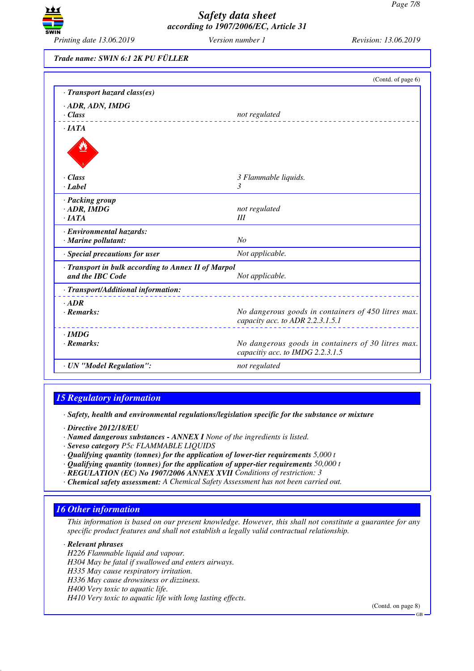

*Trade name: SWIN 6:1 2K PU FÜLLER*

|                                                     | (Contd. of page 6)                                                                      |  |  |
|-----------------------------------------------------|-----------------------------------------------------------------------------------------|--|--|
| · Transport hazard class(es)                        |                                                                                         |  |  |
| $\cdot$ ADR, ADN, IMDG                              |                                                                                         |  |  |
| $\cdot$ Class                                       | not regulated                                                                           |  |  |
| $\cdot$ <i>IATA</i>                                 |                                                                                         |  |  |
|                                                     |                                                                                         |  |  |
|                                                     |                                                                                         |  |  |
| $\cdot$ Class<br>· Label                            | 3 Flammable liquids.<br>3                                                               |  |  |
|                                                     |                                                                                         |  |  |
| · Packing group                                     |                                                                                         |  |  |
| $\cdot$ ADR, IMDG                                   | not regulated                                                                           |  |  |
| ·IATA                                               | III                                                                                     |  |  |
| · Environmental hazards:                            |                                                                                         |  |  |
| · Marine pollutant:                                 | No                                                                                      |  |  |
| · Special precautions for user                      | Not applicable.                                                                         |  |  |
| · Transport in bulk according to Annex II of Marpol |                                                                                         |  |  |
| and the IBC Code                                    | Not applicable.                                                                         |  |  |
| · Transport/Additional information:                 |                                                                                         |  |  |
| $·$ <i>ADR</i>                                      |                                                                                         |  |  |
| $\cdot$ Remarks:                                    | No dangerous goods in containers of 450 litres max.<br>capacity acc. to ADR 2.2.3.1.5.1 |  |  |
| $\cdot$ IMDG                                        |                                                                                         |  |  |
| $\cdot$ Remarks:                                    | No dangerous goods in containers of 30 litres max.<br>capacitiy acc. to IMDG 2.2.3.1.5  |  |  |
| · UN "Model Regulation":                            | not regulated                                                                           |  |  |
|                                                     |                                                                                         |  |  |

# *15 Regulatory information*

*· Safety, health and environmental regulations/legislation specific for the substance or mixture*

- *· Directive 2012/18/EU*
- *· Named dangerous substances ANNEX I None of the ingredients is listed.*
- *· Seveso category P5c FLAMMABLE LIQUIDS*
- *· Qualifying quantity (tonnes) for the application of lower-tier requirements 5,000 t*
- *· Qualifying quantity (tonnes) for the application of upper-tier requirements 50,000 t*
- *· REGULATION (EC) No 1907/2006 ANNEX XVII Conditions of restriction: 3*
- *· Chemical safety assessment: A Chemical Safety Assessment has not been carried out.*

### *16 Other information*

*This information is based on our present knowledge. However, this shall not constitute a guarantee for any specific product features and shall not establish a legally valid contractual relationship.*

### *· Relevant phrases*

*H226 Flammable liquid and vapour. H304 May be fatal if swallowed and enters airways. H335 May cause respiratory irritation. H336 May cause drowsiness or dizziness. H400 Very toxic to aquatic life. H410 Very toxic to aquatic life with long lasting effects.*

(Contd. on page 8)

GB